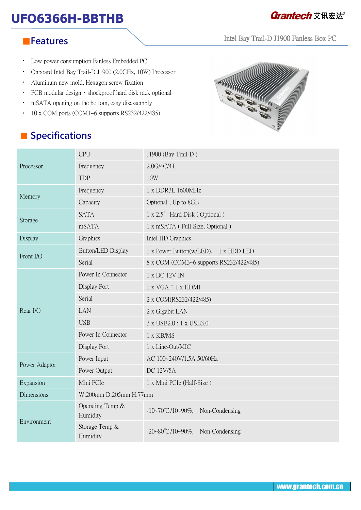# **UFO6366H-BBTHB**<br> **UFO6366H-BBTHB**

Intel Bay Trail-D J1900 Fanless Box PC

#### ■**Features**

- Low power consumption Fanless Embedded PC
- Onboard Intel Bay Trail-D J1900 (2.0GHz, 10W) Processor
- Aluminum new mold, Hexagon screw fixation
- PCB modular design, shockproof hard disk rack optional
- mSATA opening on the bottom, easy disassembly
- 10 x COM ports (COM1~6 supports RS232/422/485)

## ■ **Specifications**



| Processor     | <b>CPU</b>                   | J1900 (Bay Trail-D)                          |
|---------------|------------------------------|----------------------------------------------|
|               | Frequency                    | 2.0G/4C/4T                                   |
|               | <b>TDP</b>                   | 10W                                          |
| Memory        | Frequency                    | 1 x DDR3L 1600MHz                            |
|               | Capacity                     | Optional, Up to 8GB                          |
| Storage       | <b>SATA</b>                  | 1 x 2.5' Hard Disk (Optional)                |
|               | mSATA                        | 1 x mSATA (Full-Size, Optional)              |
| Display       | Graphics                     | Intel HD Graphics                            |
| Front I/O     | Button/LED Display           | 1 x Power Button(w/LED), 1 x HDD LED         |
|               | Serial                       | 8 x COM (COM3~6 supports RS232/422/485)      |
| Rear I/O      | Power In Connector           | 1 x DC 12V IN                                |
|               | Display Port                 | 1 x VGA : 1 x HDMI                           |
|               | Serial                       | 2 x COM(RS232/422/485)                       |
|               | LAN                          | 2 x Gigabit LAN                              |
|               | <b>USB</b>                   | 3 x USB2.0; 1 x USB3.0                       |
|               | Power In Connector           | 1 x KB/MS                                    |
|               | Display Port                 | 1 x Line-Out/MIC                             |
| Power Adaptor | Power Input                  | AC 100~240V/1.5A 50/60Hz                     |
|               | Power Output                 | <b>DC 12V/5A</b>                             |
| Expansion     | Mini PCIe                    | 1 x Mini PCIe (Half-Size)                    |
| Dimensions    | W:200mm D:205mm H:77mm       |                                              |
| Environment   | Operating Temp &<br>Humidity | $-10\sim70^{\circ}$ C/10~90%, Non-Condensing |
|               | Storage Temp &<br>Humidity   | $-20-80^{\circ}C/10-90\%$ , Non-Condensing   |